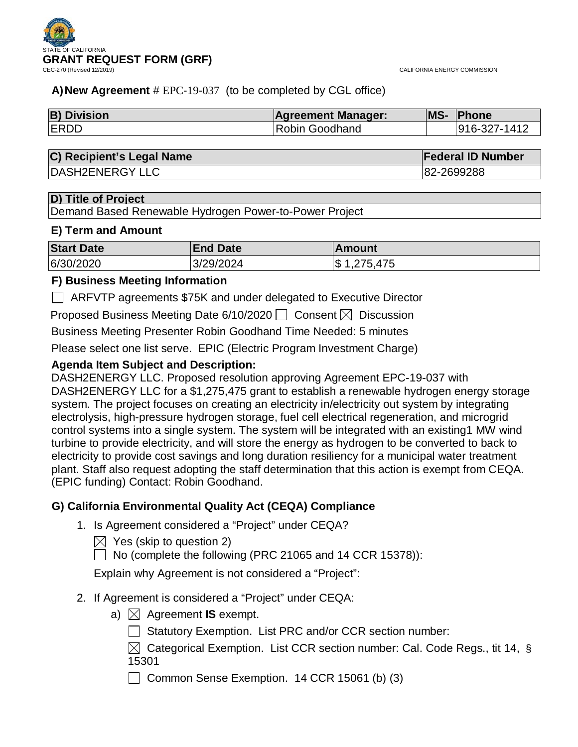CALIFORNIA ENERGY COMMISSION

## **A)New Agreement** # EPC-19-037 (to be completed by CGL office)

| <b>B) Division</b> | <b>Agreement Manager:</b> | <b>MS-</b> | <b>Phone</b> |
|--------------------|---------------------------|------------|--------------|
| <b>ERDD</b>        | Robin Goodhand            |            | 916-327-1412 |

## **C) Recipient's Legal Name Federal ID Number**

DASH2ENERGY LLC 82-2699288

## **D) Title of Project**

Demand Based Renewable Hydrogen Power-to-Power Project

## **E) Term and Amount**

| <b>Start Date</b> | <b>End Date</b> | lAmount         |
|-------------------|-----------------|-----------------|
| 6/30/2020         | 3/29/2024       | 1,275,475<br>\$ |

## **F) Business Meeting Information**

ARFVTP agreements \$75K and under delegated to Executive Director

Proposed Business Meeting Date 6/10/2020  $\Box$  Consent  $\boxtimes$  Discussion

Business Meeting Presenter Robin Goodhand Time Needed: 5 minutes

Please select one list serve. EPIC (Electric Program Investment Charge)

## **Agenda Item Subject and Description:**

DASH2ENERGY LLC. Proposed resolution approving Agreement EPC-19-037 with DASH2ENERGY LLC for a \$1,275,475 grant to establish a renewable hydrogen energy storage system. The project focuses on creating an electricity in/electricity out system by integrating electrolysis, high-pressure hydrogen storage, fuel cell electrical regeneration, and microgrid control systems into a single system. The system will be integrated with an existing1 MW wind turbine to provide electricity, and will store the energy as hydrogen to be converted to back to electricity to provide cost savings and long duration resiliency for a municipal water treatment plant. Staff also request adopting the staff determination that this action is exempt from CEQA. (EPIC funding) Contact: Robin Goodhand.

## **G) California Environmental Quality Act (CEQA) Compliance**

- 1. Is Agreement considered a "Project" under CEQA?
	- $\boxtimes$  Yes (skip to question 2)

 $\Box$  No (complete the following (PRC 21065 and 14 CCR 15378)):

Explain why Agreement is not considered a "Project":

## 2. If Agreement is considered a "Project" under CEQA:

- a)  $\boxtimes$  Agreement **IS** exempt.
	- Statutory Exemption. List PRC and/or CCR section number:
	- $\boxtimes$  Categorical Exemption. List CCR section number: Cal. Code Regs., tit 14, § 15301

Common Sense Exemption. 14 CCR 15061 (b) (3)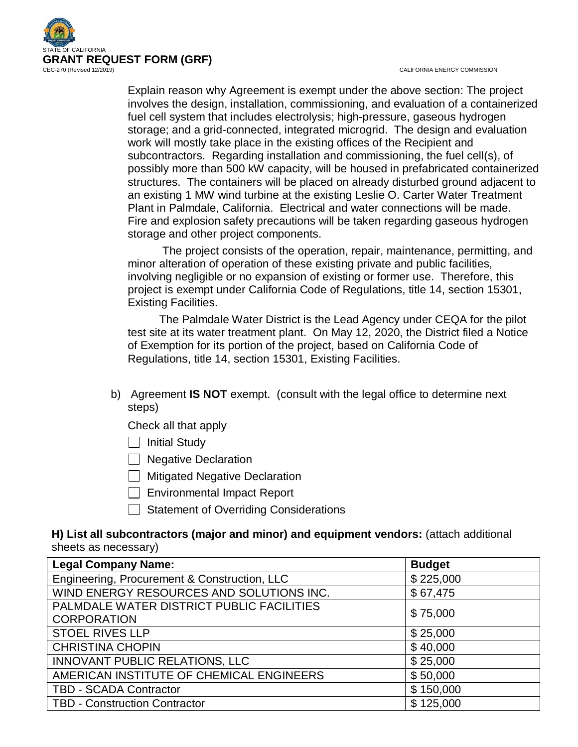

CALIFORNIA ENERGY COMMISSION

Explain reason why Agreement is exempt under the above section: The project involves the design, installation, commissioning, and evaluation of a containerized fuel cell system that includes electrolysis; high-pressure, gaseous hydrogen storage; and a grid-connected, integrated microgrid. The design and evaluation work will mostly take place in the existing offices of the Recipient and subcontractors. Regarding installation and commissioning, the fuel cell(s), of possibly more than 500 kW capacity, will be housed in prefabricated containerized structures. The containers will be placed on already disturbed ground adjacent to an existing 1 MW wind turbine at the existing Leslie O. Carter Water Treatment Plant in Palmdale, California. Electrical and water connections will be made. Fire and explosion safety precautions will be taken regarding gaseous hydrogen storage and other project components.

 The project consists of the operation, repair, maintenance, permitting, and minor alteration of operation of these existing private and public facilities, involving negligible or no expansion of existing or former use. Therefore, this project is exempt under California Code of Regulations, title 14, section 15301, Existing Facilities.

 The Palmdale Water District is the Lead Agency under CEQA for the pilot test site at its water treatment plant. On May 12, 2020, the District filed a Notice of Exemption for its portion of the project, based on California Code of Regulations, title 14, section 15301, Existing Facilities.

b) Agreement **IS NOT** exempt. (consult with the legal office to determine next steps)

Check all that apply

 $\Box$  Initial Study

 $\Box$  Negative Declaration

**I** Mitigated Negative Declaration

Environmental Impact Report

 $\Box$  Statement of Overriding Considerations

## **H) List all subcontractors (major and minor) and equipment vendors:** (attach additional sheets as necessary)

| <b>Legal Company Name:</b>                   | <b>Budget</b> |
|----------------------------------------------|---------------|
| Engineering, Procurement & Construction, LLC | \$225,000     |
| WIND ENERGY RESOURCES AND SOLUTIONS INC.     | \$67,475      |
| PALMDALE WATER DISTRICT PUBLIC FACILITIES    | \$75,000      |
| <b>CORPORATION</b>                           |               |
| <b>STOEL RIVES LLP</b>                       | \$25,000      |
| <b>CHRISTINA CHOPIN</b>                      | \$40,000      |
| INNOVANT PUBLIC RELATIONS, LLC               | \$25,000      |
| AMERICAN INSTITUTE OF CHEMICAL ENGINEERS     | \$50,000      |
| <b>TBD - SCADA Contractor</b>                | \$150,000     |
| <b>TBD - Construction Contractor</b>         | \$125,000     |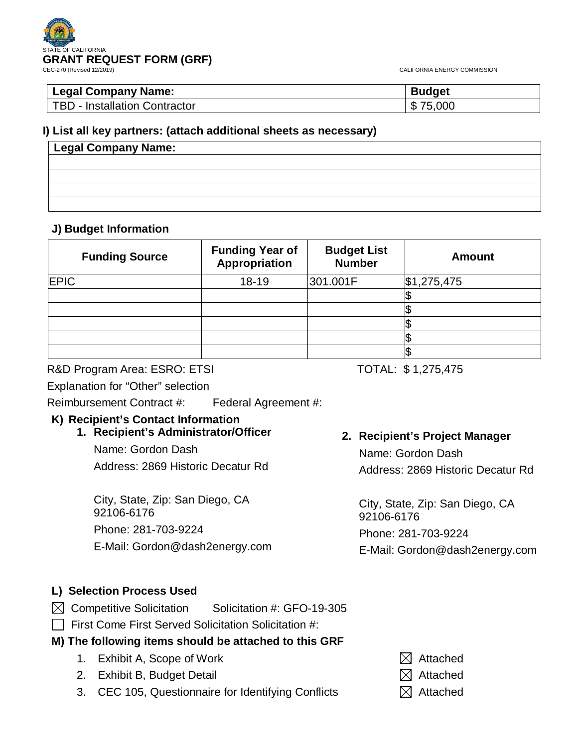CALIFORNIA ENERGY COMMISSION

| <b>Legal Company Name:</b>    | <b>Budget</b>     |
|-------------------------------|-------------------|
| TBD - Installation Contractor | 75,000<br>ጥ<br>D. |

## **I) List all key partners: (attach additional sheets as necessary)**

| Legal Company Name: |  |  |
|---------------------|--|--|
|                     |  |  |
|                     |  |  |
|                     |  |  |
|                     |  |  |

## **J) Budget Information**

| <b>Funding Source</b> | <b>Funding Year of</b><br>Appropriation | <b>Budget List</b><br><b>Number</b> | <b>Amount</b> |
|-----------------------|-----------------------------------------|-------------------------------------|---------------|
| <b>EPIC</b>           | 18-19                                   | 301.001F                            | \$1,275,475   |
|                       |                                         |                                     |               |
|                       |                                         |                                     |               |
|                       |                                         |                                     |               |
|                       |                                         |                                     |               |
|                       |                                         |                                     |               |

R&D Program Area: ESRO: ETSI TOTAL: \$1,275,475

Explanation for "Other" selection

Reimbursement Contract #: Federal Agreement #:

# **K) Recipient's Contact Information**

## **1. Recipient's Administrator/Officer**

Name: Gordon Dash Address: 2869 Historic Decatur Rd

City, State, Zip: San Diego, CA 92106-6176 Phone: 281-703-9224 E-Mail: Gordon@dash2energy.com

## **2. Recipient's Project Manager** Name: Gordon Dash

Address: 2869 Historic Decatur Rd

City, State, Zip: San Diego, CA 92106-6176 Phone: 281-703-9224 E-Mail: Gordon@dash2energy.com

## **L) Selection Process Used**

- $\boxtimes$  Competitive Solicitation Solicitation #: GFO-19-305
- $\Box$  First Come First Served Solicitation Solicitation #:

# **M) The following items should be attached to this GRF**

- 1. Exhibit A, Scope of Work  $\boxtimes$  Attached
- 2. Exhibit B, Budget Detail  $\boxtimes$  Attached
- 3. CEC 105, Questionnaire for Identifying Conflicts  $\boxtimes$  Attached
- 
- -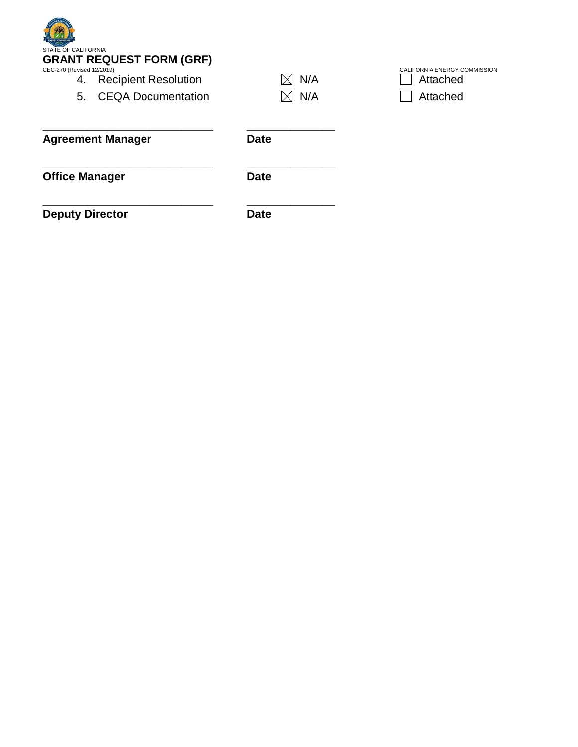| <b>STATE OF CALIFORNIA</b><br><b>GRANT REQUEST FORM (GRF)</b><br>CEC-270 (Revised 12/2019)<br><b>Recipient Resolution</b><br>4.<br><b>CEQA Documentation</b><br>5. | N/A         | CALIFORNIA ENERGY COMMISSION<br>Attached<br>Attached |
|--------------------------------------------------------------------------------------------------------------------------------------------------------------------|-------------|------------------------------------------------------|
|                                                                                                                                                                    | N/A         |                                                      |
| <b>Agreement Manager</b>                                                                                                                                           | <b>Date</b> |                                                      |
| <b>Office Manager</b>                                                                                                                                              | <b>Date</b> |                                                      |

**\_\_\_\_\_\_\_\_\_\_\_\_\_\_\_\_\_\_\_\_\_\_\_\_\_\_\_ \_\_\_\_\_\_\_\_\_\_\_\_\_\_ Deputy Director Date**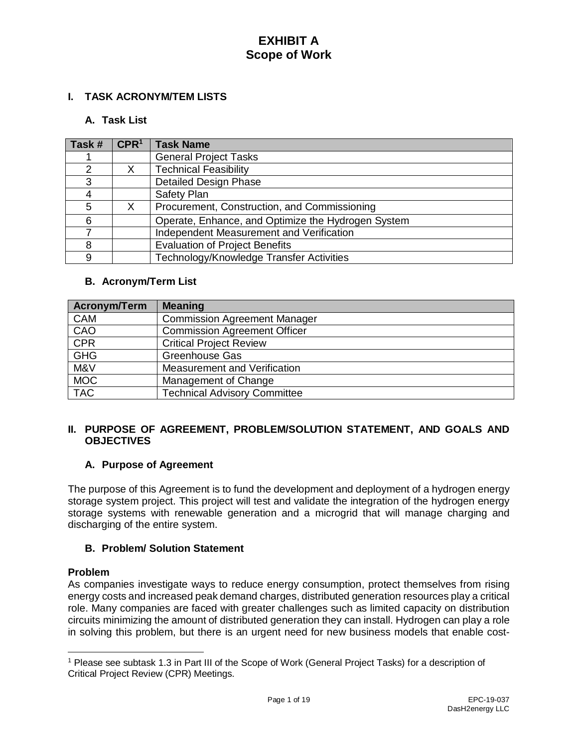## **I. TASK ACRONYM/TEM LISTS**

## **A. Task List**

| Task #        | CPR <sup>1</sup> | <b>Task Name</b>                                   |
|---------------|------------------|----------------------------------------------------|
|               |                  | <b>General Project Tasks</b>                       |
| $\mathcal{P}$ |                  | <b>Technical Feasibility</b>                       |
| 3             |                  | <b>Detailed Design Phase</b>                       |
|               |                  | Safety Plan                                        |
| 5             | X                | Procurement, Construction, and Commissioning       |
| 6             |                  | Operate, Enhance, and Optimize the Hydrogen System |
|               |                  | Independent Measurement and Verification           |
| 8             |                  | <b>Evaluation of Project Benefits</b>              |
| 9             |                  | Technology/Knowledge Transfer Activities           |

#### **B. Acronym/Term List**

| <b>Acronym/Term</b> | <b>Meaning</b>                      |
|---------------------|-------------------------------------|
| <b>CAM</b>          | <b>Commission Agreement Manager</b> |
| CAO                 | <b>Commission Agreement Officer</b> |
| <b>CPR</b>          | <b>Critical Project Review</b>      |
| <b>GHG</b>          | <b>Greenhouse Gas</b>               |
| M&V                 | Measurement and Verification        |
| <b>MOC</b>          | Management of Change                |
| <b>TAC</b>          | <b>Technical Advisory Committee</b> |

## **II. PURPOSE OF AGREEMENT, PROBLEM/SOLUTION STATEMENT, AND GOALS AND OBJECTIVES**

## **A. Purpose of Agreement**

The purpose of this Agreement is to fund the development and deployment of a hydrogen energy storage system project. This project will test and validate the integration of the hydrogen energy storage systems with renewable generation and a microgrid that will manage charging and discharging of the entire system.

#### **B. Problem/ Solution Statement**

#### **Problem**

 $\overline{a}$ 

As companies investigate ways to reduce energy consumption, protect themselves from rising energy costs and increased peak demand charges, distributed generation resources play a critical role. Many companies are faced with greater challenges such as limited capacity on distribution circuits minimizing the amount of distributed generation they can install. Hydrogen can play a role in solving this problem, but there is an urgent need for new business models that enable cost-

<sup>1</sup> Please see subtask 1.3 in Part III of the Scope of Work (General Project Tasks) for a description of Critical Project Review (CPR) Meetings.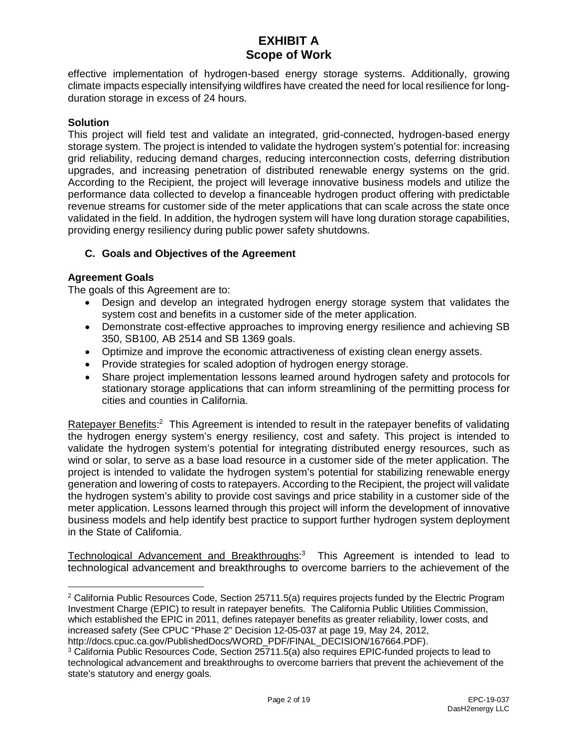effective implementation of hydrogen-based energy storage systems. Additionally, growing climate impacts especially intensifying wildfires have created the need for local resilience for longduration storage in excess of 24 hours.

#### **Solution**

This project will field test and validate an integrated, grid-connected, hydrogen-based energy storage system. The project is intended to validate the hydrogen system's potential for: increasing grid reliability, reducing demand charges, reducing interconnection costs, deferring distribution upgrades, and increasing penetration of distributed renewable energy systems on the grid. According to the Recipient, the project will leverage innovative business models and utilize the performance data collected to develop a financeable hydrogen product offering with predictable revenue streams for customer side of the meter applications that can scale across the state once validated in the field. In addition, the hydrogen system will have long duration storage capabilities, providing energy resiliency during public power safety shutdowns.

## **C. Goals and Objectives of the Agreement**

## **Agreement Goals**

 $\overline{a}$ 

The goals of this Agreement are to:

- Design and develop an integrated hydrogen energy storage system that validates the system cost and benefits in a customer side of the meter application.
- Demonstrate cost-effective approaches to improving energy resilience and achieving SB 350, SB100, AB 2514 and SB 1369 goals.
- Optimize and improve the economic attractiveness of existing clean energy assets.
- Provide strategies for scaled adoption of hydrogen energy storage.
- Share project implementation lessons learned around hydrogen safety and protocols for stationary storage applications that can inform streamlining of the permitting process for cities and counties in California.

Ratepayer Benefits:<sup>2</sup> This Agreement is intended to result in the ratepayer benefits of validating the hydrogen energy system's energy resiliency, cost and safety. This project is intended to validate the hydrogen system's potential for integrating distributed energy resources, such as wind or solar, to serve as a base load resource in a customer side of the meter application. The project is intended to validate the hydrogen system's potential for stabilizing renewable energy generation and lowering of costs to ratepayers. According to the Recipient, the project will validate the hydrogen system's ability to provide cost savings and price stability in a customer side of the meter application. Lessons learned through this project will inform the development of innovative business models and help identify best practice to support further hydrogen system deployment in the State of California.

Technological Advancement and Breakthroughs:<sup>3</sup> This Agreement is intended to lead to technological advancement and breakthroughs to overcome barriers to the achievement of the

<sup>&</sup>lt;sup>2</sup> California Public Resources Code, Section 25711.5(a) requires projects funded by the Electric Program Investment Charge (EPIC) to result in ratepayer benefits. The California Public Utilities Commission, which established the EPIC in 2011, defines ratepayer benefits as greater reliability, lower costs, and increased safety (See CPUC "Phase 2" Decision 12-05-037 at page 19, May 24, 2012,

http://docs.cpuc.ca.gov/PublishedDocs/WORD\_PDF/FINAL\_DECISION/167664.PDF).

<sup>&</sup>lt;sup>3</sup> California Public Resources Code, Section 25711.5(a) also requires EPIC-funded projects to lead to technological advancement and breakthroughs to overcome barriers that prevent the achievement of the state's statutory and energy goals.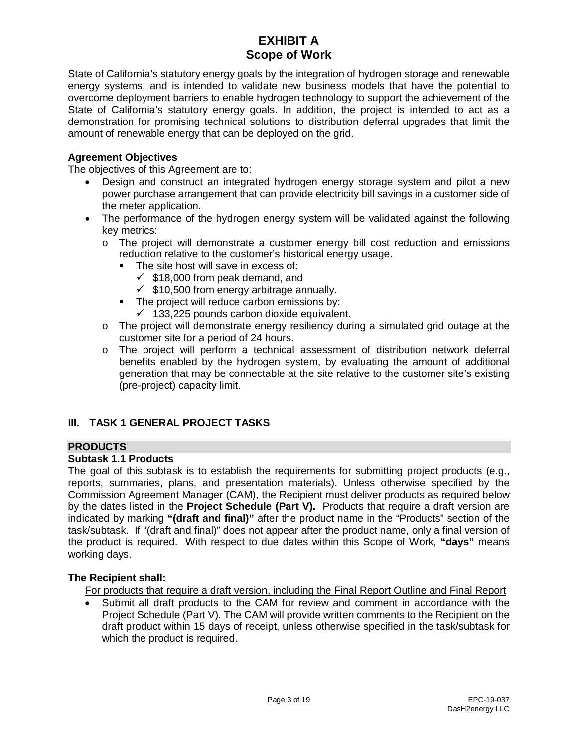State of California's statutory energy goals by the integration of hydrogen storage and renewable energy systems, and is intended to validate new business models that have the potential to overcome deployment barriers to enable hydrogen technology to support the achievement of the State of California's statutory energy goals. In addition, the project is intended to act as a demonstration for promising technical solutions to distribution deferral upgrades that limit the amount of renewable energy that can be deployed on the grid.

### **Agreement Objectives**

The objectives of this Agreement are to:

- Design and construct an integrated hydrogen energy storage system and pilot a new power purchase arrangement that can provide electricity bill savings in a customer side of the meter application.
- The performance of the hydrogen energy system will be validated against the following key metrics:
	- o The project will demonstrate a customer energy bill cost reduction and emissions reduction relative to the customer's historical energy usage.
		- The site host will save in excess of:
			- $\checkmark$  \$18,000 from peak demand, and
			- $\checkmark$  \$10,500 from energy arbitrage annually.
		- **The project will reduce carbon emissions by:** 
			- $\checkmark$  133,225 pounds carbon dioxide equivalent.
	- $\circ$  The project will demonstrate energy resiliency during a simulated grid outage at the customer site for a period of 24 hours.
	- o The project will perform a technical assessment of distribution network deferral benefits enabled by the hydrogen system, by evaluating the amount of additional generation that may be connectable at the site relative to the customer site's existing (pre-project) capacity limit.

## **III. TASK 1 GENERAL PROJECT TASKS**

## **PRODUCTS**

## **Subtask 1.1 Products**

The goal of this subtask is to establish the requirements for submitting project products (e.g., reports, summaries, plans, and presentation materials). Unless otherwise specified by the Commission Agreement Manager (CAM), the Recipient must deliver products as required below by the dates listed in the **Project Schedule (Part V).** Products that require a draft version are indicated by marking **"(draft and final)"** after the product name in the "Products" section of the task/subtask. If "(draft and final)" does not appear after the product name, only a final version of the product is required. With respect to due dates within this Scope of Work, **"days"** means working days.

#### **The Recipient shall:**

For products that require a draft version, including the Final Report Outline and Final Report

• Submit all draft products to the CAM for review and comment in accordance with the Project Schedule (Part V). The CAM will provide written comments to the Recipient on the draft product within 15 days of receipt, unless otherwise specified in the task/subtask for which the product is required.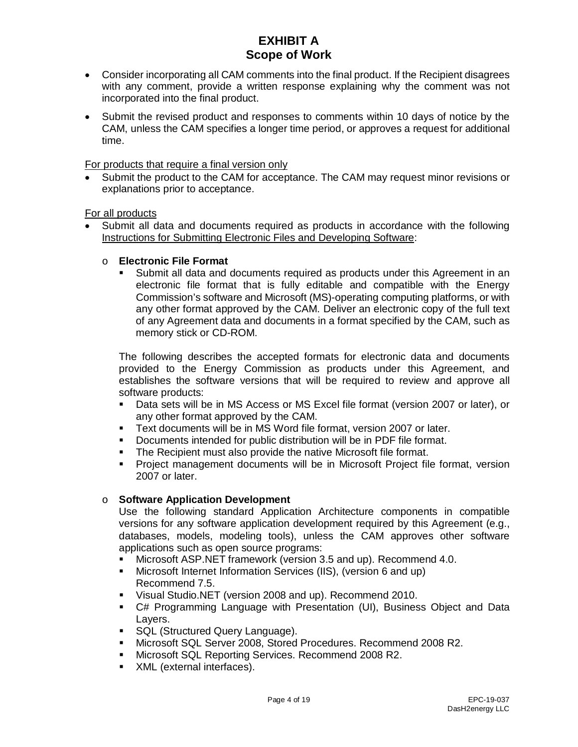- Consider incorporating all CAM comments into the final product. If the Recipient disagrees with any comment, provide a written response explaining why the comment was not incorporated into the final product.
- Submit the revised product and responses to comments within 10 days of notice by the CAM, unless the CAM specifies a longer time period, or approves a request for additional time.

For products that require a final version only

• Submit the product to the CAM for acceptance. The CAM may request minor revisions or explanations prior to acceptance.

For all products

• Submit all data and documents required as products in accordance with the following Instructions for Submitting Electronic Files and Developing Software:

#### o **Electronic File Format**

 Submit all data and documents required as products under this Agreement in an electronic file format that is fully editable and compatible with the Energy Commission's software and Microsoft (MS)-operating computing platforms, or with any other format approved by the CAM. Deliver an electronic copy of the full text of any Agreement data and documents in a format specified by the CAM, such as memory stick or CD-ROM.

The following describes the accepted formats for electronic data and documents provided to the Energy Commission as products under this Agreement, and establishes the software versions that will be required to review and approve all software products:

- Data sets will be in MS Access or MS Excel file format (version 2007 or later), or any other format approved by the CAM.
- Text documents will be in MS Word file format, version 2007 or later.
- Documents intended for public distribution will be in PDF file format.
- **The Recipient must also provide the native Microsoft file format.**
- Project management documents will be in Microsoft Project file format, version 2007 or later.

#### o **Software Application Development**

Use the following standard Application Architecture components in compatible versions for any software application development required by this Agreement (e.g., databases, models, modeling tools), unless the CAM approves other software applications such as open source programs:

- Microsoft ASP.NET framework (version 3.5 and up). Recommend 4.0.
- Microsoft Internet Information Services (IIS), (version 6 and up) Recommend 7.5.
- Visual Studio.NET (version 2008 and up). Recommend 2010.
- C# Programming Language with Presentation (UI), Business Object and Data Layers.
- **SQL (Structured Query Language).**
- Microsoft SQL Server 2008, Stored Procedures. Recommend 2008 R2.
- Microsoft SQL Reporting Services. Recommend 2008 R2.
- **XML** (external interfaces).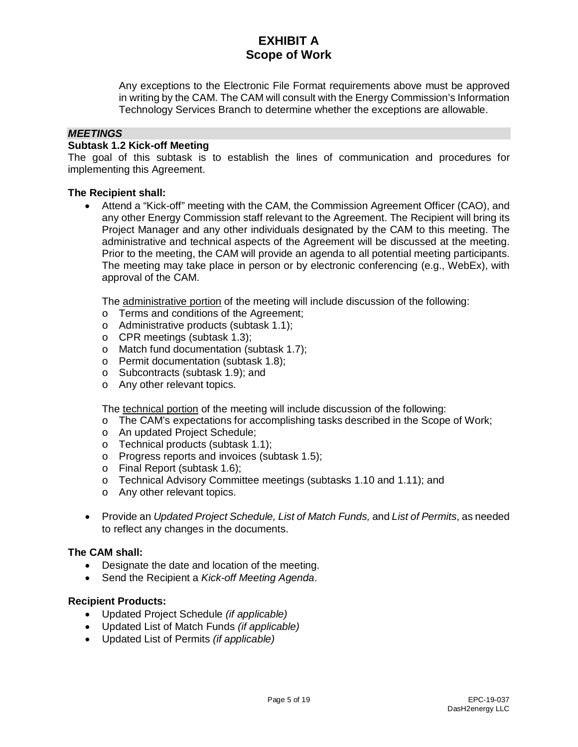Any exceptions to the Electronic File Format requirements above must be approved in writing by the CAM. The CAM will consult with the Energy Commission's Information Technology Services Branch to determine whether the exceptions are allowable.

#### *MEETINGS*

#### **Subtask 1.2 Kick-off Meeting**

The goal of this subtask is to establish the lines of communication and procedures for implementing this Agreement.

#### **The Recipient shall:**

• Attend a "Kick-off" meeting with the CAM, the Commission Agreement Officer (CAO), and any other Energy Commission staff relevant to the Agreement. The Recipient will bring its Project Manager and any other individuals designated by the CAM to this meeting. The administrative and technical aspects of the Agreement will be discussed at the meeting. Prior to the meeting, the CAM will provide an agenda to all potential meeting participants. The meeting may take place in person or by electronic conferencing (e.g., WebEx), with approval of the CAM.

The administrative portion of the meeting will include discussion of the following:

- o Terms and conditions of the Agreement;
- o Administrative products (subtask 1.1);
- o CPR meetings (subtask 1.3);
- o Match fund documentation (subtask 1.7);
- o Permit documentation (subtask 1.8);
- o Subcontracts (subtask 1.9); and
- o Any other relevant topics.

The technical portion of the meeting will include discussion of the following:

- o The CAM's expectations for accomplishing tasks described in the Scope of Work;
- o An updated Project Schedule;
- o Technical products (subtask 1.1);
- o Progress reports and invoices (subtask 1.5);
- o Final Report (subtask 1.6);
- o Technical Advisory Committee meetings (subtasks 1.10 and 1.11); and
- o Any other relevant topics.
- Provide an *Updated Project Schedule, List of Match Funds,* and *List of Permits*, as needed to reflect any changes in the documents.

#### **The CAM shall:**

- Designate the date and location of the meeting.
- Send the Recipient a *Kick-off Meeting Agenda*.

#### **Recipient Products:**

- Updated Project Schedule *(if applicable)*
- Updated List of Match Funds *(if applicable)*
- Updated List of Permits *(if applicable)*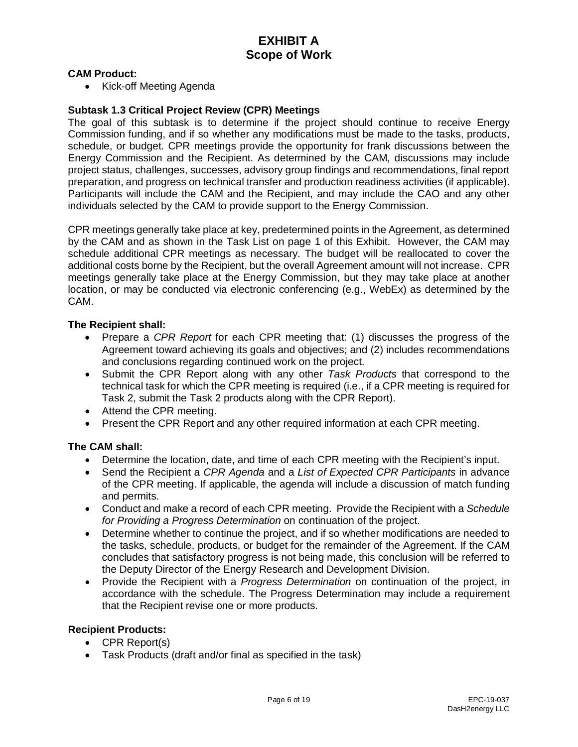#### **CAM Product:**

• Kick-off Meeting Agenda

#### **Subtask 1.3 Critical Project Review (CPR) Meetings**

The goal of this subtask is to determine if the project should continue to receive Energy Commission funding, and if so whether any modifications must be made to the tasks, products, schedule, or budget. CPR meetings provide the opportunity for frank discussions between the Energy Commission and the Recipient. As determined by the CAM, discussions may include project status, challenges, successes, advisory group findings and recommendations, final report preparation, and progress on technical transfer and production readiness activities (if applicable). Participants will include the CAM and the Recipient, and may include the CAO and any other individuals selected by the CAM to provide support to the Energy Commission.

CPR meetings generally take place at key, predetermined points in the Agreement, as determined by the CAM and as shown in the Task List on page 1 of this Exhibit. However, the CAM may schedule additional CPR meetings as necessary. The budget will be reallocated to cover the additional costs borne by the Recipient, but the overall Agreement amount will not increase. CPR meetings generally take place at the Energy Commission, but they may take place at another location, or may be conducted via electronic conferencing (e.g., WebEx) as determined by the CAM.

#### **The Recipient shall:**

- Prepare a *CPR Report* for each CPR meeting that: (1) discusses the progress of the Agreement toward achieving its goals and objectives; and (2) includes recommendations and conclusions regarding continued work on the project.
- Submit the CPR Report along with any other *Task Products* that correspond to the technical task for which the CPR meeting is required (i.e., if a CPR meeting is required for Task 2, submit the Task 2 products along with the CPR Report).
- Attend the CPR meeting.
- Present the CPR Report and any other required information at each CPR meeting.

#### **The CAM shall:**

- Determine the location, date, and time of each CPR meeting with the Recipient's input.
- Send the Recipient a *CPR Agenda* and a *List of Expected CPR Participants* in advance of the CPR meeting. If applicable, the agenda will include a discussion of match funding and permits.
- Conduct and make a record of each CPR meeting. Provide the Recipient with a *Schedule for Providing a Progress Determination* on continuation of the project.
- Determine whether to continue the project, and if so whether modifications are needed to the tasks, schedule, products, or budget for the remainder of the Agreement. If the CAM concludes that satisfactory progress is not being made, this conclusion will be referred to the Deputy Director of the Energy Research and Development Division.
- Provide the Recipient with a *Progress Determination* on continuation of the project, in accordance with the schedule. The Progress Determination may include a requirement that the Recipient revise one or more products.

### **Recipient Products:**

- CPR Report(s)
- Task Products (draft and/or final as specified in the task)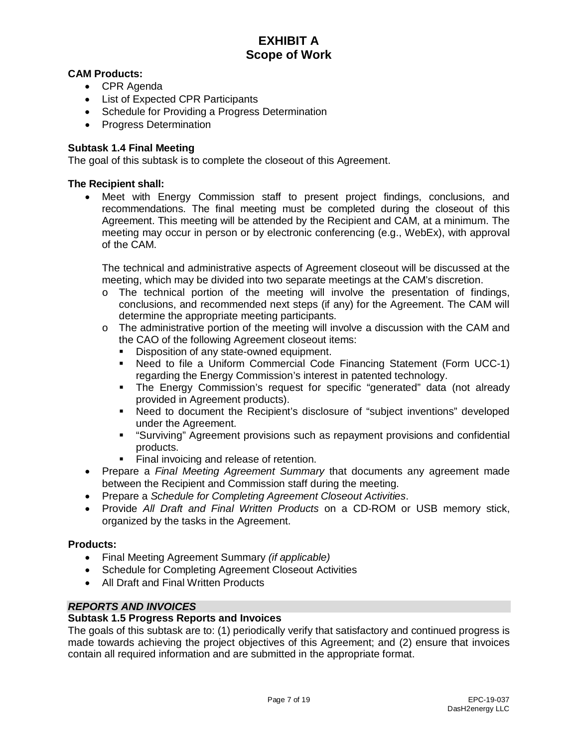## **CAM Products:**

- CPR Agenda
- List of Expected CPR Participants
- Schedule for Providing a Progress Determination
- Progress Determination

## **Subtask 1.4 Final Meeting**

The goal of this subtask is to complete the closeout of this Agreement.

#### **The Recipient shall:**

• Meet with Energy Commission staff to present project findings, conclusions, and recommendations. The final meeting must be completed during the closeout of this Agreement. This meeting will be attended by the Recipient and CAM, at a minimum. The meeting may occur in person or by electronic conferencing (e.g., WebEx), with approval of the CAM.

The technical and administrative aspects of Agreement closeout will be discussed at the meeting, which may be divided into two separate meetings at the CAM's discretion.

- $\circ$  The technical portion of the meeting will involve the presentation of findings, conclusions, and recommended next steps (if any) for the Agreement. The CAM will determine the appropriate meeting participants.
- $\circ$  The administrative portion of the meeting will involve a discussion with the CAM and the CAO of the following Agreement closeout items:
	- Disposition of any state-owned equipment.
	- Need to file a Uniform Commercial Code Financing Statement (Form UCC-1) regarding the Energy Commission's interest in patented technology.
	- The Energy Commission's request for specific "generated" data (not already provided in Agreement products).
	- Need to document the Recipient's disclosure of "subject inventions" developed under the Agreement.
	- "Surviving" Agreement provisions such as repayment provisions and confidential products.
	- **Final invoicing and release of retention.**
- Prepare a *Final Meeting Agreement Summary* that documents any agreement made between the Recipient and Commission staff during the meeting.
- Prepare a *Schedule for Completing Agreement Closeout Activities*.
- Provide *All Draft and Final Written Products* on a CD-ROM or USB memory stick, organized by the tasks in the Agreement.

#### **Products:**

- Final Meeting Agreement Summary *(if applicable)*
- Schedule for Completing Agreement Closeout Activities
- All Draft and Final Written Products

## *REPORTS AND INVOICES*

#### **Subtask 1.5 Progress Reports and Invoices**

The goals of this subtask are to: (1) periodically verify that satisfactory and continued progress is made towards achieving the project objectives of this Agreement; and (2) ensure that invoices contain all required information and are submitted in the appropriate format.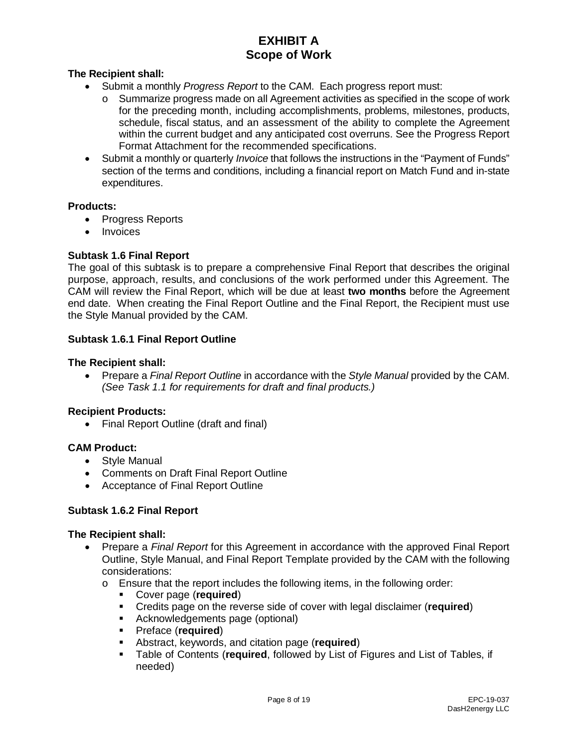## **The Recipient shall:**

- Submit a monthly *Progress Report* to the CAM. Each progress report must:
	- o Summarize progress made on all Agreement activities as specified in the scope of work for the preceding month, including accomplishments, problems, milestones, products, schedule, fiscal status, and an assessment of the ability to complete the Agreement within the current budget and any anticipated cost overruns. See the Progress Report Format Attachment for the recommended specifications.
- Submit a monthly or quarterly *Invoice* that follows the instructions in the "Payment of Funds" section of the terms and conditions, including a financial report on Match Fund and in-state expenditures.

#### **Products:**

- Progress Reports
- Invoices

## **Subtask 1.6 Final Report**

The goal of this subtask is to prepare a comprehensive Final Report that describes the original purpose, approach, results, and conclusions of the work performed under this Agreement. The CAM will review the Final Report, which will be due at least **two months** before the Agreement end date. When creating the Final Report Outline and the Final Report, the Recipient must use the Style Manual provided by the CAM.

#### **Subtask 1.6.1 Final Report Outline**

#### **The Recipient shall:**

• Prepare a *Final Report Outline* in accordance with the *Style Manual* provided by the CAM. *(See Task 1.1 for requirements for draft and final products.)*

#### **Recipient Products:**

• Final Report Outline (draft and final)

## **CAM Product:**

- Style Manual
- Comments on Draft Final Report Outline
- Acceptance of Final Report Outline

#### **Subtask 1.6.2 Final Report**

- Prepare a *Final Report* for this Agreement in accordance with the approved Final Report Outline, Style Manual, and Final Report Template provided by the CAM with the following considerations:
	- $\circ$  Ensure that the report includes the following items, in the following order:<br>  $\bullet$  Cover page (required)
		- Cover page (**required**)
		- Credits page on the reverse side of cover with legal disclaimer (**required**)
		- Acknowledgements page (optional)
		- Preface (**required**)
		- **-** Abstract, keywords, and citation page (**required**)<br>**-** Table of Contents (**required** followed by List of I
		- Table of Contents (**required**, followed by List of Figures and List of Tables, if needed)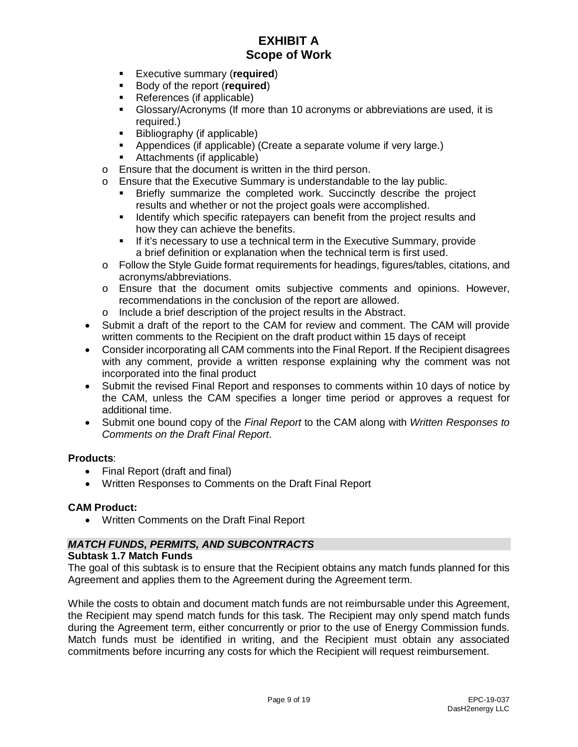- Executive summary (**required**)
- **Body of the report (required)**
- References (if applicable)
- Glossary/Acronyms (If more than 10 acronyms or abbreviations are used, it is required.)
- **Bibliography (if applicable)**
- Appendices (if applicable) (Create a separate volume if very large.)
- Attachments (if applicable)
- o Ensure that the document is written in the third person.
- o Ensure that the Executive Summary is understandable to the lay public.
	- Briefly summarize the completed work. Succinctly describe the project results and whether or not the project goals were accomplished.
	- **If Identify which specific ratepayers can benefit from the project results and** how they can achieve the benefits.
	- If it's necessary to use a technical term in the Executive Summary, provide a brief definition or explanation when the technical term is first used.
- o Follow the Style Guide format requirements for headings, figures/tables, citations, and acronyms/abbreviations.
- o Ensure that the document omits subjective comments and opinions. However, recommendations in the conclusion of the report are allowed.
- o Include a brief description of the project results in the Abstract.
- Submit a draft of the report to the CAM for review and comment. The CAM will provide written comments to the Recipient on the draft product within 15 days of receipt
- Consider incorporating all CAM comments into the Final Report. If the Recipient disagrees with any comment, provide a written response explaining why the comment was not incorporated into the final product
- Submit the revised Final Report and responses to comments within 10 days of notice by the CAM, unless the CAM specifies a longer time period or approves a request for additional time.
- Submit one bound copy of the *Final Report* to the CAM along with *Written Responses to Comments on the Draft Final Report*.

#### **Products**:

- Final Report (draft and final)
- Written Responses to Comments on the Draft Final Report

#### **CAM Product:**

• Written Comments on the Draft Final Report

#### *MATCH FUNDS, PERMITS, AND SUBCONTRACTS*

#### **Subtask 1.7 Match Funds**

The goal of this subtask is to ensure that the Recipient obtains any match funds planned for this Agreement and applies them to the Agreement during the Agreement term.

While the costs to obtain and document match funds are not reimbursable under this Agreement, the Recipient may spend match funds for this task. The Recipient may only spend match funds during the Agreement term, either concurrently or prior to the use of Energy Commission funds. Match funds must be identified in writing, and the Recipient must obtain any associated commitments before incurring any costs for which the Recipient will request reimbursement.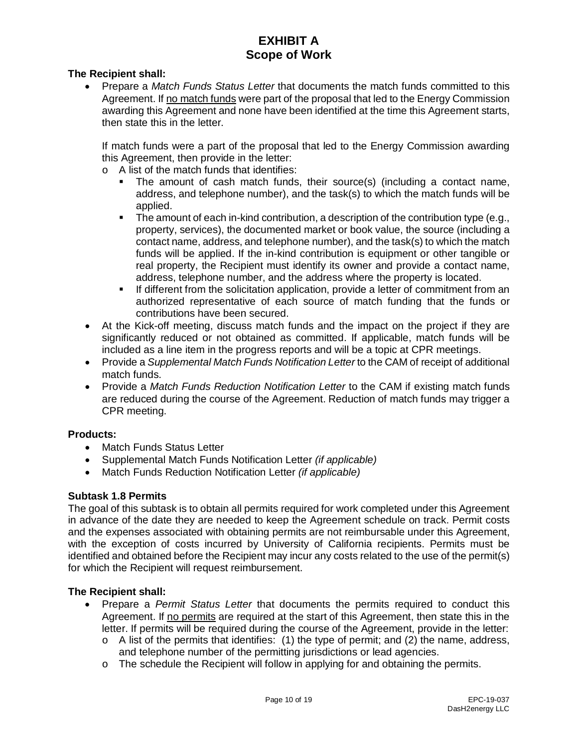### **The Recipient shall:**

• Prepare a *Match Funds Status Letter* that documents the match funds committed to this Agreement. If no match funds were part of the proposal that led to the Energy Commission awarding this Agreement and none have been identified at the time this Agreement starts, then state this in the letter.

If match funds were a part of the proposal that led to the Energy Commission awarding this Agreement, then provide in the letter:

- o A list of the match funds that identifies:
	- The amount of cash match funds, their source(s) (including a contact name, address, and telephone number), and the task(s) to which the match funds will be applied.
	- The amount of each in-kind contribution, a description of the contribution type (e.g., property, services), the documented market or book value, the source (including a contact name, address, and telephone number), and the task(s) to which the match funds will be applied. If the in-kind contribution is equipment or other tangible or real property, the Recipient must identify its owner and provide a contact name, address, telephone number, and the address where the property is located.
	- If different from the solicitation application, provide a letter of commitment from an authorized representative of each source of match funding that the funds or contributions have been secured.
- At the Kick-off meeting, discuss match funds and the impact on the project if they are significantly reduced or not obtained as committed. If applicable, match funds will be included as a line item in the progress reports and will be a topic at CPR meetings.
- Provide a *Supplemental Match Funds Notification Letter* to the CAM of receipt of additional match funds.
- Provide a *Match Funds Reduction Notification Letter* to the CAM if existing match funds are reduced during the course of the Agreement. Reduction of match funds may trigger a CPR meeting.

## **Products:**

- Match Funds Status Letter
- Supplemental Match Funds Notification Letter *(if applicable)*
- Match Funds Reduction Notification Letter *(if applicable)*

#### **Subtask 1.8 Permits**

The goal of this subtask is to obtain all permits required for work completed under this Agreement in advance of the date they are needed to keep the Agreement schedule on track. Permit costs and the expenses associated with obtaining permits are not reimbursable under this Agreement, with the exception of costs incurred by University of California recipients. Permits must be identified and obtained before the Recipient may incur any costs related to the use of the permit(s) for which the Recipient will request reimbursement.

- Prepare a *Permit Status Letter* that documents the permits required to conduct this Agreement. If no permits are required at the start of this Agreement, then state this in the letter. If permits will be required during the course of the Agreement, provide in the letter:
	- $\circ$  A list of the permits that identifies: (1) the type of permit; and (2) the name, address, and telephone number of the permitting jurisdictions or lead agencies.
	- o The schedule the Recipient will follow in applying for and obtaining the permits.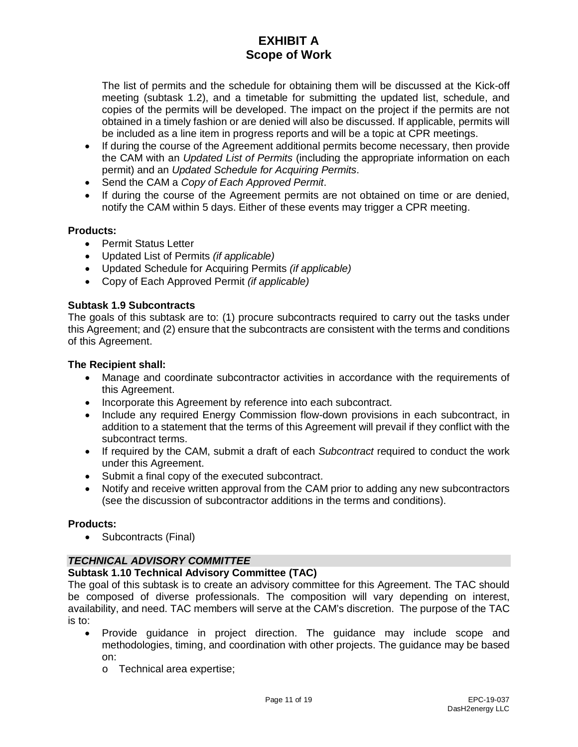The list of permits and the schedule for obtaining them will be discussed at the Kick-off meeting (subtask 1.2), and a timetable for submitting the updated list, schedule, and copies of the permits will be developed. The impact on the project if the permits are not obtained in a timely fashion or are denied will also be discussed. If applicable, permits will be included as a line item in progress reports and will be a topic at CPR meetings.

- If during the course of the Agreement additional permits become necessary, then provide the CAM with an *Updated List of Permits* (including the appropriate information on each permit) and an *Updated Schedule for Acquiring Permits*.
- Send the CAM a *Copy of Each Approved Permit*.
- If during the course of the Agreement permits are not obtained on time or are denied, notify the CAM within 5 days. Either of these events may trigger a CPR meeting.

## **Products:**

- Permit Status Letter
- Updated List of Permits *(if applicable)*
- Updated Schedule for Acquiring Permits *(if applicable)*
- Copy of Each Approved Permit *(if applicable)*

## **Subtask 1.9 Subcontracts**

The goals of this subtask are to: (1) procure subcontracts required to carry out the tasks under this Agreement; and (2) ensure that the subcontracts are consistent with the terms and conditions of this Agreement.

#### **The Recipient shall:**

- Manage and coordinate subcontractor activities in accordance with the requirements of this Agreement.
- Incorporate this Agreement by reference into each subcontract.
- Include any required Energy Commission flow-down provisions in each subcontract, in addition to a statement that the terms of this Agreement will prevail if they conflict with the subcontract terms.
- If required by the CAM, submit a draft of each *Subcontract* required to conduct the work under this Agreement.
- Submit a final copy of the executed subcontract.
- Notify and receive written approval from the CAM prior to adding any new subcontractors (see the discussion of subcontractor additions in the terms and conditions).

## **Products:**

• Subcontracts (Final)

## *TECHNICAL ADVISORY COMMITTEE*

## **Subtask 1.10 Technical Advisory Committee (TAC)**

The goal of this subtask is to create an advisory committee for this Agreement. The TAC should be composed of diverse professionals. The composition will vary depending on interest, availability, and need. TAC members will serve at the CAM's discretion. The purpose of the TAC is to:

- Provide guidance in project direction. The guidance may include scope and methodologies, timing, and coordination with other projects. The guidance may be based on:
	- o Technical area expertise;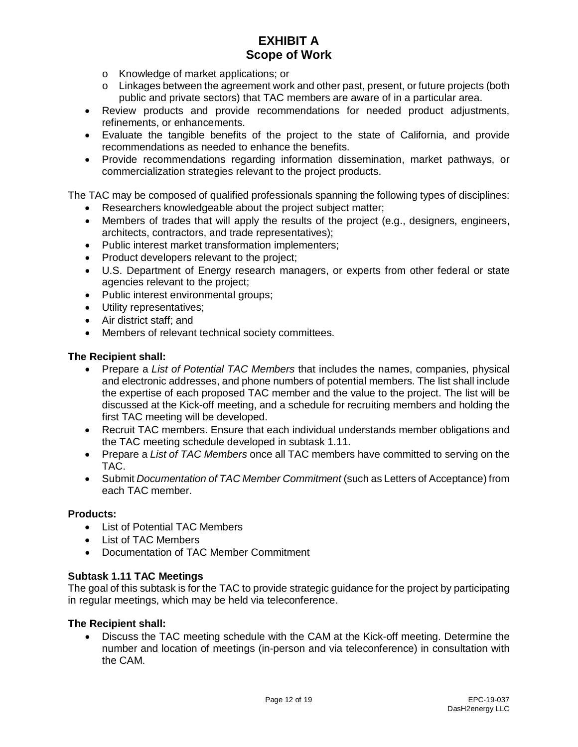- o Knowledge of market applications; or
- o Linkages between the agreement work and other past, present, or future projects (both public and private sectors) that TAC members are aware of in a particular area.
- Review products and provide recommendations for needed product adjustments, refinements, or enhancements.
- Evaluate the tangible benefits of the project to the state of California, and provide recommendations as needed to enhance the benefits.
- Provide recommendations regarding information dissemination, market pathways, or commercialization strategies relevant to the project products.

The TAC may be composed of qualified professionals spanning the following types of disciplines:

- Researchers knowledgeable about the project subject matter;
- Members of trades that will apply the results of the project (e.g., designers, engineers, architects, contractors, and trade representatives);
- Public interest market transformation implementers;
- Product developers relevant to the project;
- U.S. Department of Energy research managers, or experts from other federal or state agencies relevant to the project;
- Public interest environmental groups;
- Utility representatives;
- Air district staff; and
- Members of relevant technical society committees.

#### **The Recipient shall:**

- Prepare a *List of Potential TAC Members* that includes the names, companies, physical and electronic addresses, and phone numbers of potential members. The list shall include the expertise of each proposed TAC member and the value to the project. The list will be discussed at the Kick-off meeting, and a schedule for recruiting members and holding the first TAC meeting will be developed.
- Recruit TAC members. Ensure that each individual understands member obligations and the TAC meeting schedule developed in subtask 1.11.
- Prepare a *List of TAC Members* once all TAC members have committed to serving on the TAC.
- Submit *Documentation of TAC Member Commitment* (such as Letters of Acceptance) from each TAC member.

#### **Products:**

- List of Potential TAC Members
- List of TAC Members
- Documentation of TAC Member Commitment

#### **Subtask 1.11 TAC Meetings**

The goal of this subtask is for the TAC to provide strategic guidance for the project by participating in regular meetings, which may be held via teleconference.

#### **The Recipient shall:**

• Discuss the TAC meeting schedule with the CAM at the Kick-off meeting. Determine the number and location of meetings (in-person and via teleconference) in consultation with the CAM.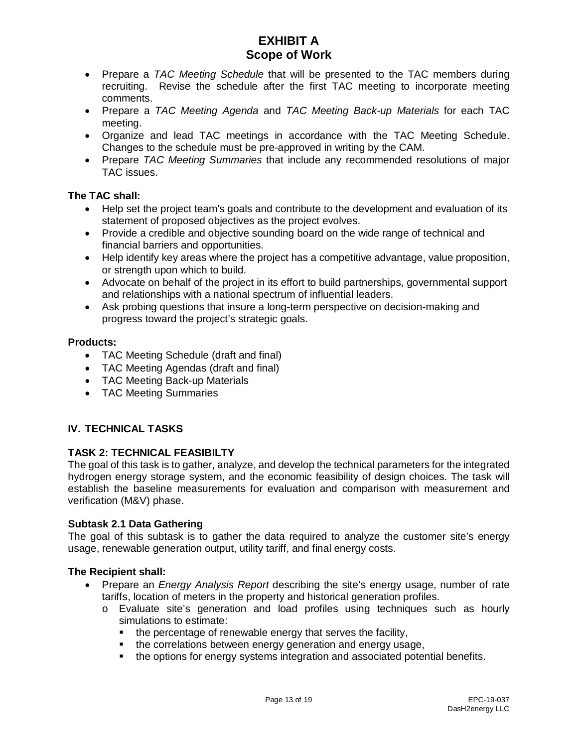- Prepare a *TAC Meeting Schedule* that will be presented to the TAC members during recruiting. Revise the schedule after the first TAC meeting to incorporate meeting comments.
- Prepare a *TAC Meeting Agenda* and *TAC Meeting Back-up Materials* for each TAC meeting.
- Organize and lead TAC meetings in accordance with the TAC Meeting Schedule. Changes to the schedule must be pre-approved in writing by the CAM.
- Prepare *TAC Meeting Summaries* that include any recommended resolutions of major TAC issues.

## **The TAC shall:**

- Help set the project team's goals and contribute to the development and evaluation of its statement of proposed objectives as the project evolves.
- Provide a credible and objective sounding board on the wide range of technical and financial barriers and opportunities.
- Help identify key areas where the project has a competitive advantage, value proposition, or strength upon which to build.
- Advocate on behalf of the project in its effort to build partnerships, governmental support and relationships with a national spectrum of influential leaders.
- Ask probing questions that insure a long-term perspective on decision-making and progress toward the project's strategic goals.

#### **Products:**

- TAC Meeting Schedule (draft and final)
- TAC Meeting Agendas (draft and final)
- TAC Meeting Back-up Materials
- TAC Meeting Summaries

## **IV. TECHNICAL TASKS**

## **TASK 2: TECHNICAL FEASIBILTY**

The goal of this task is to gather, analyze, and develop the technical parameters for the integrated hydrogen energy storage system, and the economic feasibility of design choices. The task will establish the baseline measurements for evaluation and comparison with measurement and verification (M&V) phase.

## **Subtask 2.1 Data Gathering**

The goal of this subtask is to gather the data required to analyze the customer site's energy usage, renewable generation output, utility tariff, and final energy costs.

- Prepare an *Energy Analysis Report* describing the site's energy usage, number of rate tariffs, location of meters in the property and historical generation profiles.
	- o Evaluate site's generation and load profiles using techniques such as hourly simulations to estimate:
		- the percentage of renewable energy that serves the facility,
		- the correlations between energy generation and energy usage,
		- the options for energy systems integration and associated potential benefits.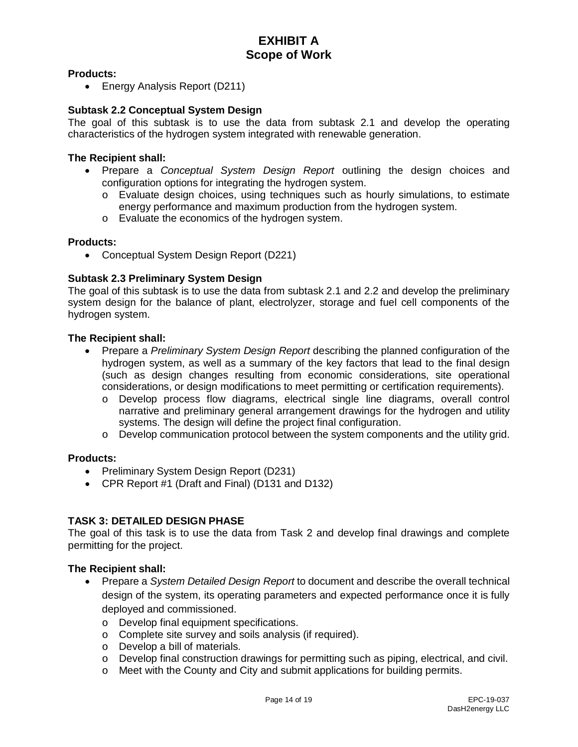## **Products:**

• Energy Analysis Report (D211)

#### **Subtask 2.2 Conceptual System Design**

The goal of this subtask is to use the data from subtask 2.1 and develop the operating characteristics of the hydrogen system integrated with renewable generation.

#### **The Recipient shall:**

- Prepare a *Conceptual System Design Report* outlining the design choices and configuration options for integrating the hydrogen system.
	- o Evaluate design choices, using techniques such as hourly simulations, to estimate energy performance and maximum production from the hydrogen system.
	- o Evaluate the economics of the hydrogen system.

#### **Products:**

• Conceptual System Design Report (D221)

#### **Subtask 2.3 Preliminary System Design**

The goal of this subtask is to use the data from subtask 2.1 and 2.2 and develop the preliminary system design for the balance of plant, electrolyzer, storage and fuel cell components of the hydrogen system.

#### **The Recipient shall:**

- Prepare a *Preliminary System Design Report* describing the planned configuration of the hydrogen system, as well as a summary of the key factors that lead to the final design (such as design changes resulting from economic considerations, site operational considerations, or design modifications to meet permitting or certification requirements).
	- o Develop process flow diagrams, electrical single line diagrams, overall control narrative and preliminary general arrangement drawings for the hydrogen and utility systems. The design will define the project final configuration.
	- $\circ$  Develop communication protocol between the system components and the utility grid.

#### **Products:**

- Preliminary System Design Report (D231)
- CPR Report #1 (Draft and Final) (D131 and D132)

#### **TASK 3: DETAILED DESIGN PHASE**

The goal of this task is to use the data from Task 2 and develop final drawings and complete permitting for the project.

- Prepare a *System Detailed Design Report* to document and describe the overall technical design of the system, its operating parameters and expected performance once it is fully deployed and commissioned.
	- o Develop final equipment specifications.
	- o Complete site survey and soils analysis (if required).
	- o Develop a bill of materials.
	- o Develop final construction drawings for permitting such as piping, electrical, and civil.
	- o Meet with the County and City and submit applications for building permits.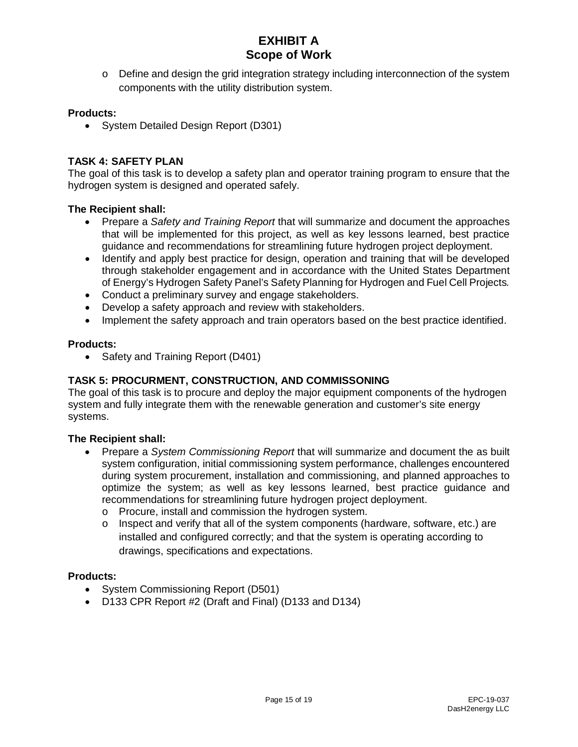$\circ$  Define and design the grid integration strategy including interconnection of the system components with the utility distribution system.

## **Products:**

• System Detailed Design Report (D301)

### **TASK 4: SAFETY PLAN**

The goal of this task is to develop a safety plan and operator training program to ensure that the hydrogen system is designed and operated safely.

#### **The Recipient shall:**

- Prepare a *Safety and Training Report* that will summarize and document the approaches that will be implemented for this project, as well as key lessons learned, best practice guidance and recommendations for streamlining future hydrogen project deployment.
- Identify and apply best practice for design, operation and training that will be developed through stakeholder engagement and in accordance with the United States Department of Energy's Hydrogen Safety Panel's Safety Planning for Hydrogen and Fuel Cell Projects*.*
- Conduct a preliminary survey and engage stakeholders.
- Develop a safety approach and review with stakeholders.
- Implement the safety approach and train operators based on the best practice identified.

#### **Products:**

• Safety and Training Report (D401)

## **TASK 5: PROCURMENT, CONSTRUCTION, AND COMMISSONING**

The goal of this task is to procure and deploy the major equipment components of the hydrogen system and fully integrate them with the renewable generation and customer's site energy systems.

#### **The Recipient shall:**

- Prepare a *System Commissioning Report* that will summarize and document the as built system configuration, initial commissioning system performance, challenges encountered during system procurement, installation and commissioning, and planned approaches to optimize the system; as well as key lessons learned, best practice guidance and recommendations for streamlining future hydrogen project deployment.
	- o Procure, install and commission the hydrogen system.
	- o Inspect and verify that all of the system components (hardware, software, etc.) are installed and configured correctly; and that the system is operating according to drawings, specifications and expectations.

#### **Products:**

- System Commissioning Report (D501)
- D133 CPR Report #2 (Draft and Final) (D133 and D134)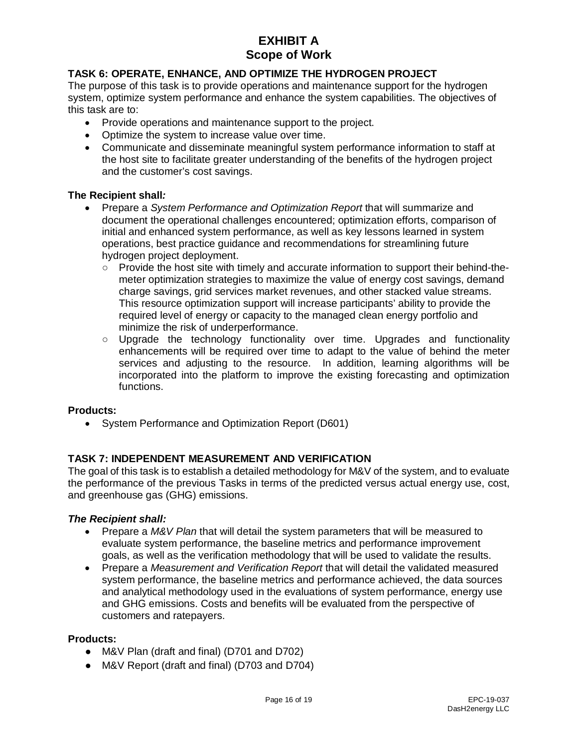## **TASK 6: OPERATE, ENHANCE, AND OPTIMIZE THE HYDROGEN PROJECT**

The purpose of this task is to provide operations and maintenance support for the hydrogen system, optimize system performance and enhance the system capabilities. The objectives of this task are to:

- Provide operations and maintenance support to the project.
- Optimize the system to increase value over time.
- Communicate and disseminate meaningful system performance information to staff at the host site to facilitate greater understanding of the benefits of the hydrogen project and the customer's cost savings.

## **The Recipient shall***:*

- Prepare a *System Performance and Optimization Report* that will summarize and document the operational challenges encountered; optimization efforts, comparison of initial and enhanced system performance, as well as key lessons learned in system operations, best practice guidance and recommendations for streamlining future hydrogen project deployment.
	- Provide the host site with timely and accurate information to support their behind-themeter optimization strategies to maximize the value of energy cost savings, demand charge savings, grid services market revenues, and other stacked value streams. This resource optimization support will increase participants' ability to provide the required level of energy or capacity to the managed clean energy portfolio and minimize the risk of underperformance.
	- Upgrade the technology functionality over time. Upgrades and functionality enhancements will be required over time to adapt to the value of behind the meter services and adjusting to the resource. In addition, learning algorithms will be incorporated into the platform to improve the existing forecasting and optimization functions.

## **Products:**

• System Performance and Optimization Report (D601)

## **TASK 7: INDEPENDENT MEASUREMENT AND VERIFICATION**

The goal of this task is to establish a detailed methodology for M&V of the system, and to evaluate the performance of the previous Tasks in terms of the predicted versus actual energy use, cost, and greenhouse gas (GHG) emissions.

## *The Recipient shall:*

- Prepare a *M&V Plan* that will detail the system parameters that will be measured to evaluate system performance, the baseline metrics and performance improvement goals, as well as the verification methodology that will be used to validate the results.
- Prepare a *Measurement and Verification Report* that will detail the validated measured system performance, the baseline metrics and performance achieved, the data sources and analytical methodology used in the evaluations of system performance, energy use and GHG emissions. Costs and benefits will be evaluated from the perspective of customers and ratepayers.

#### **Products:**

- M&V Plan (draft and final) (D701 and D702)
- M&V Report (draft and final) (D703 and D704)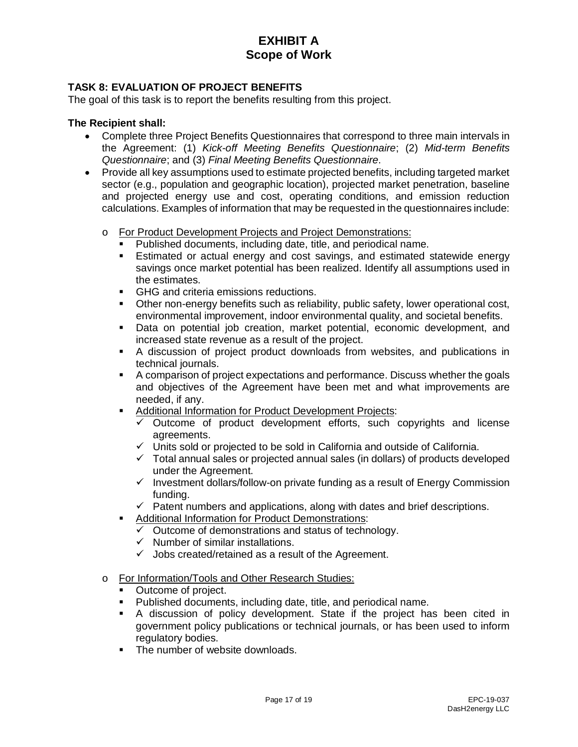## **TASK 8: EVALUATION OF PROJECT BENEFITS**

The goal of this task is to report the benefits resulting from this project.

- Complete three Project Benefits Questionnaires that correspond to three main intervals in the Agreement: (1) *Kick-off Meeting Benefits Questionnaire*; (2) *Mid-term Benefits Questionnaire*; and (3) *Final Meeting Benefits Questionnaire*.
- Provide all key assumptions used to estimate projected benefits, including targeted market sector (e.g., population and geographic location), projected market penetration, baseline and projected energy use and cost, operating conditions, and emission reduction calculations. Examples of information that may be requested in the questionnaires include:
	- o For Product Development Projects and Project Demonstrations:
		- Published documents, including date, title, and periodical name.
		- Estimated or actual energy and cost savings, and estimated statewide energy savings once market potential has been realized. Identify all assumptions used in the estimates.
		- **GHG and criteria emissions reductions.**
		- Other non-energy benefits such as reliability, public safety, lower operational cost, environmental improvement, indoor environmental quality, and societal benefits.
		- Data on potential job creation, market potential, economic development, and increased state revenue as a result of the project.
		- A discussion of project product downloads from websites, and publications in technical journals.
		- A comparison of project expectations and performance. Discuss whether the goals and objectives of the Agreement have been met and what improvements are needed, if any.
		- **Additional Information for Product Development Projects:** 
			- $\checkmark$  Outcome of product development efforts, such copyrights and license agreements.
			- $\checkmark$  Units sold or projected to be sold in California and outside of California.
			- $\checkmark$  Total annual sales or projected annual sales (in dollars) of products developed under the Agreement.
			- $\checkmark$  Investment dollars/follow-on private funding as a result of Energy Commission funding.
			- $\checkmark$  Patent numbers and applications, along with dates and brief descriptions.
		- Additional Information for Product Demonstrations:
			- $\checkmark$  Outcome of demonstrations and status of technology.
			- $\checkmark$  Number of similar installations.
			- $\checkmark$  Jobs created/retained as a result of the Agreement.
	- o For Information/Tools and Other Research Studies:
		- Outcome of project.
		- Published documents, including date, title, and periodical name.
		- A discussion of policy development. State if the project has been cited in government policy publications or technical journals, or has been used to inform regulatory bodies.
		- The number of website downloads.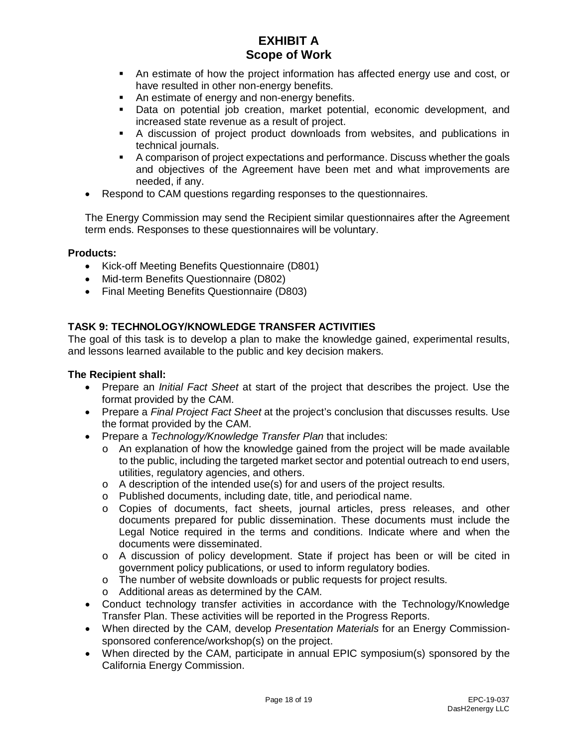- An estimate of how the project information has affected energy use and cost, or have resulted in other non-energy benefits.
- An estimate of energy and non-energy benefits.
- Data on potential job creation, market potential, economic development, and increased state revenue as a result of project.
- A discussion of project product downloads from websites, and publications in technical journals.
- A comparison of project expectations and performance. Discuss whether the goals and objectives of the Agreement have been met and what improvements are needed, if any.
- Respond to CAM questions regarding responses to the questionnaires.

The Energy Commission may send the Recipient similar questionnaires after the Agreement term ends. Responses to these questionnaires will be voluntary.

#### **Products:**

- Kick-off Meeting Benefits Questionnaire (D801)
- Mid-term Benefits Questionnaire (D802)
- Final Meeting Benefits Questionnaire (D803)

## **TASK 9: TECHNOLOGY/KNOWLEDGE TRANSFER ACTIVITIES**

The goal of this task is to develop a plan to make the knowledge gained, experimental results, and lessons learned available to the public and key decision makers.

- Prepare an *Initial Fact Sheet* at start of the project that describes the project. Use the format provided by the CAM.
- Prepare a *Final Project Fact Sheet* at the project's conclusion that discusses results. Use the format provided by the CAM.
- Prepare a *Technology/Knowledge Transfer Plan* that includes:
	- o An explanation of how the knowledge gained from the project will be made available to the public, including the targeted market sector and potential outreach to end users, utilities, regulatory agencies, and others.
	- o A description of the intended use(s) for and users of the project results.
	- o Published documents, including date, title, and periodical name.
	- o Copies of documents, fact sheets, journal articles, press releases, and other documents prepared for public dissemination. These documents must include the Legal Notice required in the terms and conditions. Indicate where and when the documents were disseminated.
	- o A discussion of policy development. State if project has been or will be cited in government policy publications, or used to inform regulatory bodies.
	- o The number of website downloads or public requests for project results.
	- o Additional areas as determined by the CAM.
- Conduct technology transfer activities in accordance with the Technology/Knowledge Transfer Plan. These activities will be reported in the Progress Reports.
- When directed by the CAM, develop *Presentation Materials* for an Energy Commissionsponsored conference/workshop(s) on the project.
- When directed by the CAM, participate in annual EPIC symposium(s) sponsored by the California Energy Commission.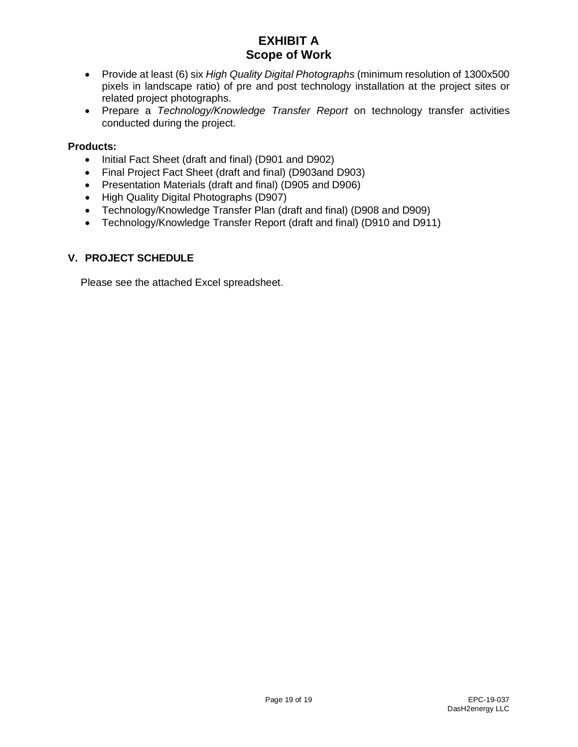- Provide at least (6) six *High Quality Digital Photographs* (minimum resolution of 1300x500 pixels in landscape ratio) of pre and post technology installation at the project sites or related project photographs.
- Prepare a *Technology/Knowledge Transfer Report* on technology transfer activities conducted during the project.

## **Products:**

- Initial Fact Sheet (draft and final) (D901 and D902)
- Final Project Fact Sheet (draft and final) (D903and D903)
- Presentation Materials (draft and final) (D905 and D906)
- High Quality Digital Photographs (D907)
- Technology/Knowledge Transfer Plan (draft and final) (D908 and D909)
- Technology/Knowledge Transfer Report (draft and final) (D910 and D911)

## **V. PROJECT SCHEDULE**

Please see the attached Excel spreadsheet.